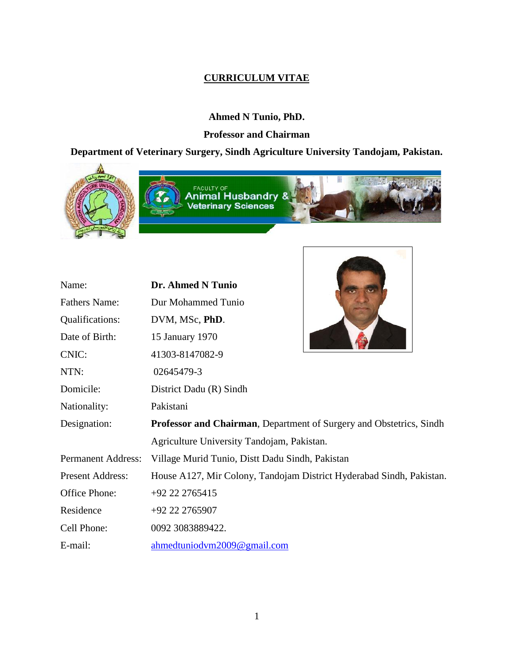# **CURRICULUM VITAE**

# **Ahmed N Tunio, PhD.**

## **Professor and Chairman**

# **Department of Veterinary Surgery, Sindh Agriculture University Tandojam, Pakistan.**



| Name:                     | Dr. Ahmed N Tunio                                                    |  |  |
|---------------------------|----------------------------------------------------------------------|--|--|
| <b>Fathers Name:</b>      | Dur Mohammed Tunio                                                   |  |  |
| Qualifications:           | DVM, MSc, PhD.                                                       |  |  |
| Date of Birth:            | 15 January 1970                                                      |  |  |
| CNIC:                     | 41303-8147082-9                                                      |  |  |
| NTN:                      | 02645479-3                                                           |  |  |
| Domicile:                 | District Dadu (R) Sindh                                              |  |  |
| Nationality:              | Pakistani                                                            |  |  |
| Designation:              | Professor and Chairman, Department of Surgery and Obstetrics, Sindh  |  |  |
|                           | Agriculture University Tandojam, Pakistan.                           |  |  |
| <b>Permanent Address:</b> | Village Murid Tunio, Distt Dadu Sindh, Pakistan                      |  |  |
| <b>Present Address:</b>   | House A127, Mir Colony, Tandojam District Hyderabad Sindh, Pakistan. |  |  |
| Office Phone:             | +92 22 2765415                                                       |  |  |
| Residence                 | +92 22 2765907                                                       |  |  |
| Cell Phone:               | 0092 3083889422.                                                     |  |  |
| E-mail:                   | ahmedtuniodym2009@gmail.com                                          |  |  |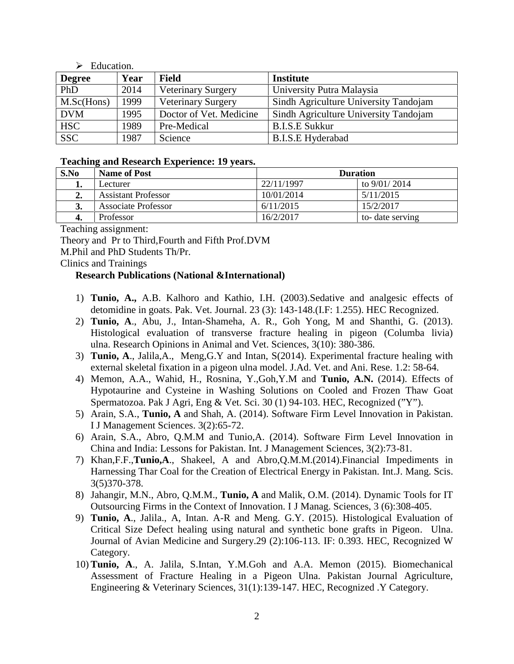#### $\triangleright$  Education.

| <b>Degree</b> | Year | <b>Field</b>              | <b>Institute</b>                      |  |
|---------------|------|---------------------------|---------------------------------------|--|
| PhD           | 2014 | <b>Veterinary Surgery</b> | University Putra Malaysia             |  |
| M.Sc(Hons)    | 1999 | <b>Veterinary Surgery</b> | Sindh Agriculture University Tandojam |  |
| <b>DVM</b>    | 1995 | Doctor of Vet. Medicine   | Sindh Agriculture University Tandojam |  |
| <b>HSC</b>    | 1989 | Pre-Medical               | <b>B.I.S.E Sukkur</b>                 |  |
| <b>SSC</b>    | 1987 | Science                   | <b>B.I.S.E Hyderabad</b>              |  |

#### **Teaching and Research Experience: 19 years.**

| S.No | <b>Name of Post</b>        | <b>Duration</b> |                  |  |
|------|----------------------------|-----------------|------------------|--|
| ı.   | Lecturer                   | 22/11/1997      | to 9/01/2014     |  |
| 2.   | <b>Assistant Professor</b> | 10/01/2014      | 5/11/2015        |  |
| 3.   | <b>Associate Professor</b> | 6/11/2015       | 15/2/2017        |  |
| 4.   | Professor                  | 16/2/2017       | to- date serving |  |

Teaching assignment:

Theory and Pr to Third,Fourth and Fifth Prof.DVM

M.Phil and PhD Students Th/Pr.

Clinics and Trainings

#### **Research Publications (National &International)**

- 1) **Tunio, A.,** A.B. Kalhoro and Kathio, I.H. (2003).Sedative and analgesic effects of detomidine in goats. Pak. Vet. Journal. 23 (3): 143-148.(I.F: 1.255). HEC Recognized.
- 2) **Tunio, A**., Abu, J., Intan-Shameha, A. R., Goh Yong, M and Shanthi, G. (2013). Histological evaluation of transverse fracture healing in pigeon (Columba livia) ulna. Research Opinions in Animal and Vet. Sciences, 3(10): 380-386.
- 3) **Tunio, A**., Jalila,A., Meng,G.Y and Intan, S(2014). Experimental fracture healing with external skeletal fixation in a pigeon ulna model. J.Ad. Vet. and Ani. Rese. 1.2: 58-64.
- 4) Memon, A.A., Wahid, H., Rosnina, Y.,Goh,Y.M and **Tunio, A.N.** (2014). Effects of Hypotaurine and Cysteine in Washing Solutions on Cooled and Frozen Thaw Goat Spermatozoa. Pak J Agri, Eng & Vet. Sci. 30 (1) 94-103. HEC, Recognized ("Y").
- 5) Arain, S.A., **Tunio, A** and Shah, A. (2014). Software Firm Level Innovation in Pakistan. I J Management Sciences. 3(2):65-72.
- 6) Arain, S.A., Abro, Q.M.M and Tunio,A. (2014). Software Firm Level Innovation in China and India: Lessons for Pakistan. Int. J Management Sciences, 3(2):73-81.
- 7) Khan,F.F.,**Tunio,A**., Shakeel, A and Abro,Q.M.M.(2014).Financial Impediments in Harnessing Thar Coal for the Creation of Electrical Energy in Pakistan. Int.J. Mang. Scis. 3(5)370-378.
- 8) Jahangir, M.N., Abro, Q.M.M., **Tunio, A** and Malik, O.M. (2014). Dynamic Tools for IT Outsourcing Firms in the Context of Innovation. I J Manag. Sciences, 3 (6):308-405.
- 9) **Tunio, A**., Jalila., A, Intan. A-R and Meng. G.Y. (2015). Histological Evaluation of Critical Size Defect healing using natural and synthetic bone grafts in Pigeon. Ulna. Journal of Avian Medicine and Surgery.29 (2):106-113. IF: 0.393. HEC, Recognized W Category.
- 10) **Tunio, A**., A. Jalila, S.Intan, Y.M.Goh and A.A. Memon (2015). Biomechanical Assessment of Fracture Healing in a Pigeon Ulna. Pakistan Journal Agriculture, Engineering & Veterinary Sciences, 31(1):139-147. HEC, Recognized .Y Category.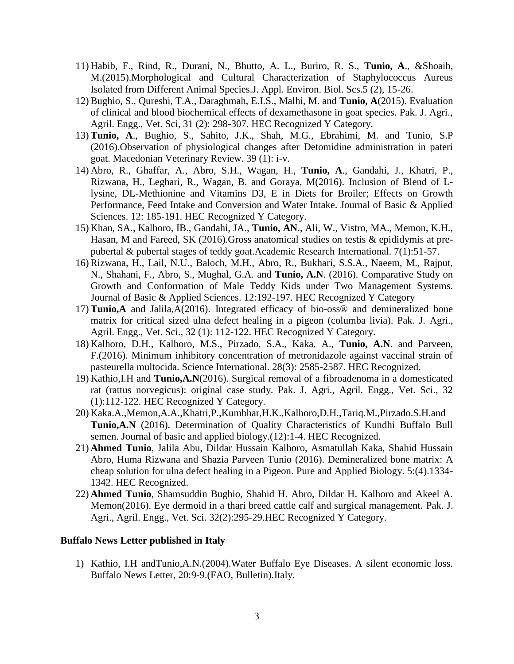- 11) Habib, F., Rind, R., Durani, N., Bhutto, A. L., Buriro, R. S., **Tunio, A**., &Shoaib, M.(2015).Morphological and Cultural Characterization of Staphylococcus Aureus Isolated from Different Animal Species.J. Appl. Environ. Biol. Scs.5 (2), 15-26.
- 12) Bughio, S., Qureshi, T.A., Daraghmah, E.I.S., Malhi, M. and **Tunio, A**(2015). Evaluation of clinical and blood biochemical effects of dexamethasone in goat species. Pak. J. Agri., Agril. Engg., Vet. Sci, 31 (2): 298-307. HEC Recognized Y Category.
- 13) **Tunio, A**., Bughio, S., Sahito, J.K., Shah, M.G., Ebrahimi, M. and Tunio, S.P (2016).Observation of physiological changes after Detomidine administration in pateri goat. Macedonian Veterinary Review. 39 (1): i-v.
- 14) Abro, R., Ghaffar, A., Abro, S.H., Wagan, H., **Tunio, A**., Gandahi, J., Khatri, P., Rizwana, H., Leghari, R., Wagan, B. and Goraya, M(2016). Inclusion of Blend of Llysine, DL-Methionine and Vitamins D3, E in Diets for Broiler; Effects on Growth Performance, Feed Intake and Conversion and Water Intake. Journal of Basic & Applied Sciences. 12: 185-191. HEC Recognized Y Category.
- 15) Khan, SA., Kalhoro, IB., Gandahi, JA., **Tunio, AN**., Ali, W., Vistro, MA., Memon, K.H., Hasan, M and Fareed, SK (2016).Gross anatomical studies on testis & epididymis at pre pubertal & pubertal stages of teddy goat.Academic Research International. 7(1):51-57.
- 16) Rizwana, H., Lail, N.U., Baloch, M.H., Abro, R., Bukhari, S.S.A., Naeem, M., Rajput, N., Shahani, F., Abro, S., Mughal, G.A. and **Tunio, A.N**. (2016). Comparative Study on Growth and Conformation of Male Teddy Kids under Two Management Systems. Journal of Basic & Applied Sciences. 12:192-197. HEC Recognized Y Category
- 17) **Tunio,A** and Jalila,A(2016). Integrated efficacy of bio-oss® and demineralized bone matrix for critical sized ulna defect healing in a pigeon (columba livia). Pak. J. Agri., Agril. Engg., Vet. Sci., 32 (1): 112-122. HEC Recognized Y Category.
- 18) Kalhoro, D.H., Kalhoro, M.S., Pirzado, S.A., Kaka, A., **Tunio, A.N**. and Parveen, F.(2016). Minimum inhibitory concentration of metronidazole against vaccinal strain of pasteurella multocida. Science International. 28(3): 2585-2587. HEC Recognized.
- 19) Kathio,I.H and **Tunio,A.N**(2016). Surgical removal of a fibroadenoma in a domesticated rat (rattus norvegicus): original case study. Pak. J. Agri., Agril. Engg., Vet. Sci., 32 (1):112-122. HEC Recognized Y Category.
- 20) Kaka.A.,Memon,A.A.,Khatri,P.,Kumbhar,H.K.,Kalhoro,D.H.,Tariq.M.,Pirzado.S.H.and **Tunio,A.N** (2016). Determination of Quality Characteristics of Kundhi Buffalo Bull semen. Journal of basic and applied biology.(12):1-4. HEC Recognized.
- 21) **Ahmed Tunio**, Jalila Abu, Dildar Hussain Kalhoro, Asmatullah Kaka, Shahid Hussain Abro, Huma Rizwana and Shazia Parveen Tunio (2016). Demineralized bone matrix: A cheap solution for ulna defect healing in a Pigeon. Pure and Applied Biology. 5:(4).1334- 1342. HEC Recognized.
- 22) **Ahmed Tunio**, Shamsuddin Bughio, Shahid H. Abro, Dildar H. Kalhoro and Akeel A. Memon(2016). Eye dermoid in a thari breed cattle calf and surgical management. Pak. J. Agri., Agril. Engg., Vet. Sci. 32(2):295-29.HEC Recognized Y Category.

#### **Buffalo News Letter published in Italy**

1) Kathio, I.H andTunio,A.N.(2004).Water Buffalo Eye Diseases. A silent economic loss. Buffalo News Letter, 20:9-9.(FAO, Bulletin).Italy.